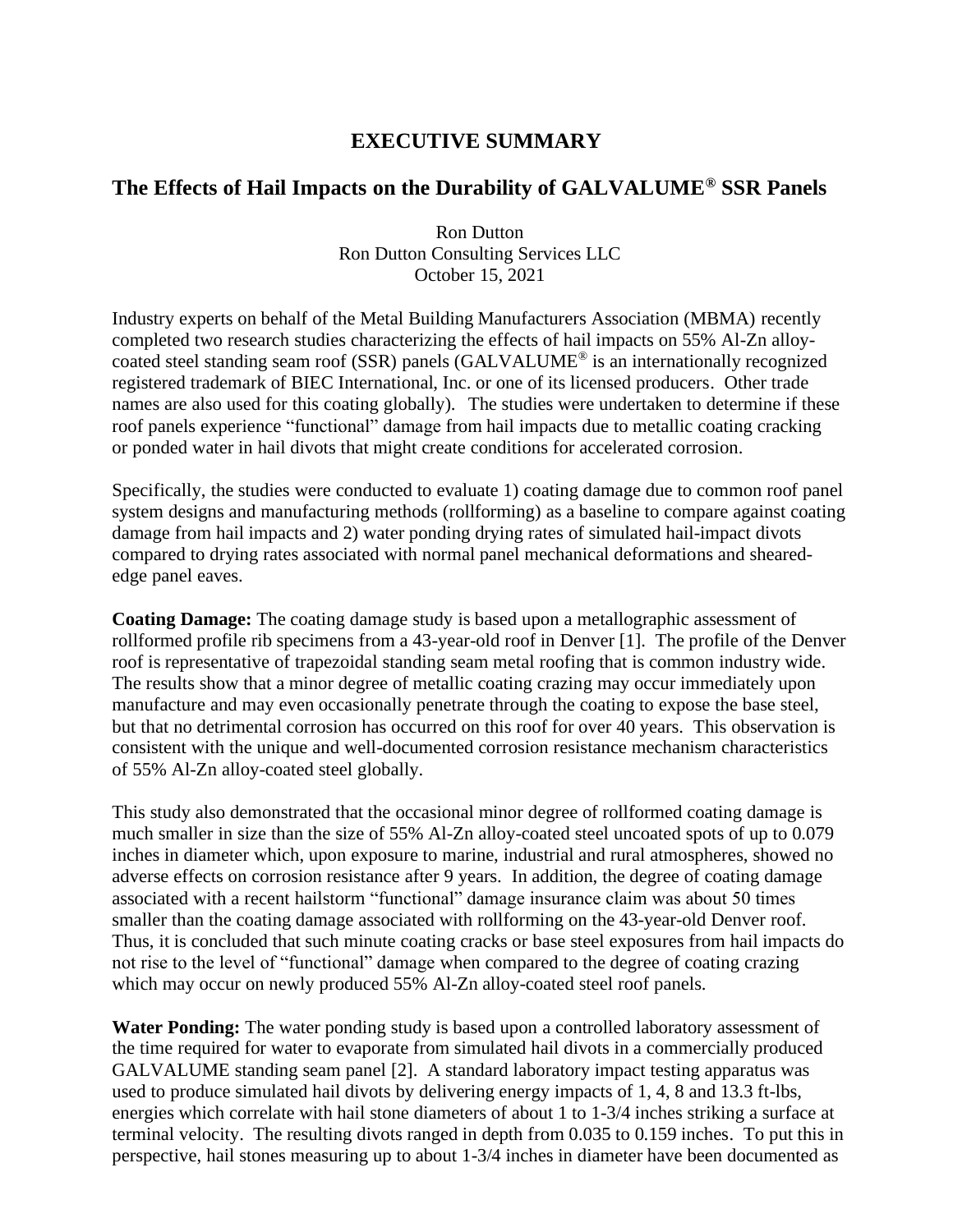## **EXECUTIVE SUMMARY**

## **The Effects of Hail Impacts on the Durability of GALVALUME® SSR Panels**

Ron Dutton Ron Dutton Consulting Services LLC October 15, 2021

Industry experts on behalf of the Metal Building Manufacturers Association (MBMA) recently completed two research studies characterizing the effects of hail impacts on 55% Al-Zn alloycoated steel standing seam roof (SSR) panels (GALVALUME® is an internationally recognized registered trademark of BIEC International, Inc. or one of its licensed producers. Other trade names are also used for this coating globally). The studies were undertaken to determine if these roof panels experience "functional" damage from hail impacts due to metallic coating cracking or ponded water in hail divots that might create conditions for accelerated corrosion.

Specifically, the studies were conducted to evaluate 1) coating damage due to common roof panel system designs and manufacturing methods (rollforming) as a baseline to compare against coating damage from hail impacts and 2) water ponding drying rates of simulated hail-impact divots compared to drying rates associated with normal panel mechanical deformations and shearededge panel eaves.

**Coating Damage:** The coating damage study is based upon a metallographic assessment of rollformed profile rib specimens from a 43-year-old roof in Denver [1]. The profile of the Denver roof is representative of trapezoidal standing seam metal roofing that is common industry wide. The results show that a minor degree of metallic coating crazing may occur immediately upon manufacture and may even occasionally penetrate through the coating to expose the base steel, but that no detrimental corrosion has occurred on this roof for over 40 years. This observation is consistent with the unique and well-documented corrosion resistance mechanism characteristics of 55% Al-Zn alloy-coated steel globally.

This study also demonstrated that the occasional minor degree of rollformed coating damage is much smaller in size than the size of 55% Al-Zn alloy-coated steel uncoated spots of up to 0.079 inches in diameter which, upon exposure to marine, industrial and rural atmospheres, showed no adverse effects on corrosion resistance after 9 years. In addition, the degree of coating damage associated with a recent hailstorm "functional" damage insurance claim was about 50 times smaller than the coating damage associated with rollforming on the 43-year-old Denver roof. Thus, it is concluded that such minute coating cracks or base steel exposures from hail impacts do not rise to the level of "functional" damage when compared to the degree of coating crazing which may occur on newly produced 55% Al-Zn alloy-coated steel roof panels.

**Water Ponding:** The water ponding study is based upon a controlled laboratory assessment of the time required for water to evaporate from simulated hail divots in a commercially produced GALVALUME standing seam panel [2]. A standard laboratory impact testing apparatus was used to produce simulated hail divots by delivering energy impacts of 1, 4, 8 and 13.3 ft-lbs, energies which correlate with hail stone diameters of about 1 to 1-3/4 inches striking a surface at terminal velocity. The resulting divots ranged in depth from 0.035 to 0.159 inches. To put this in perspective, hail stones measuring up to about 1-3/4 inches in diameter have been documented as